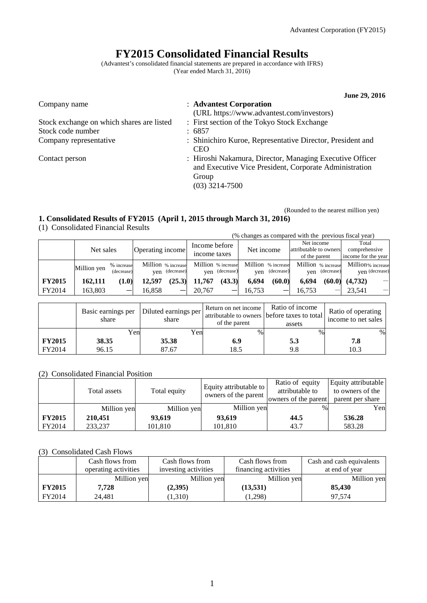# **FY2015 Consolidated Financial Results**

(Advantest's consolidated financial statements are prepared in accordance with IFRS) (Year ended March 31, 2016)

|                                           | June 29, 2016                                                                                                                                   |
|-------------------------------------------|-------------------------------------------------------------------------------------------------------------------------------------------------|
| Company name                              | : Advantest Corporation<br>(URL https://www.advantest.com/investors)                                                                            |
| Stock exchange on which shares are listed | : First section of the Tokyo Stock Exchange                                                                                                     |
| Stock code number                         | : 6857                                                                                                                                          |
| Company representative                    | : Shinichiro Kuroe, Representative Director, President and<br><b>CEO</b>                                                                        |
| Contact person                            | : Hiroshi Nakamura, Director, Managing Executive Officer<br>and Executive Vice President, Corporate Administration<br>Group<br>$(03)$ 3214-7500 |

(Rounded to the nearest million yen)

## **1. Consolidated Results of FY2015 (April 1, 2015 through March 31, 2016)**

(1) Consolidated Financial Results

|               |             |                          |                  |                                      |                               |                                      |            |                                  |                                                       |                                  | (% changes as compared with the previous fiscal year) |                          |
|---------------|-------------|--------------------------|------------------|--------------------------------------|-------------------------------|--------------------------------------|------------|----------------------------------|-------------------------------------------------------|----------------------------------|-------------------------------------------------------|--------------------------|
|               | Net sales   |                          | Operating income |                                      | Income before<br>income taxes |                                      | Net income |                                  | Net income<br>attributable to owners<br>of the parent |                                  | Total<br>comprehensive<br>income for the year         |                          |
|               | Million yen | % increase<br>(decrease) |                  | Million % increase<br>yen (decrease) |                               | Million % increase<br>yen (decrease) | ven        | Million % increase<br>(decrease) | ven                                                   | Million % increase<br>(decrease) | Million% increase<br>ven (decrease)                   |                          |
| <b>FY2015</b> | 162.111     | (1.0)                    | 12.597           | (25.3)                               | 11.767                        | (43.3)                               | 6.694      | (60.0)                           | 6.694                                                 | (60.0)                           | (4.732)                                               | $\overline{\phantom{m}}$ |
| FY2014        | 163,803     | _                        | 16.858           | —                                    | 20.767                        |                                      | 16.753     |                                  | 16.753                                                |                                  | 23.541                                                |                          |

|               | Basic earnings per<br>share | Diluted earnings per<br>share | Return on net income<br>of the parent | Ratio of income<br>attributable to owners before taxes to total<br>assets | Ratio of operating<br>income to net sales |
|---------------|-----------------------------|-------------------------------|---------------------------------------|---------------------------------------------------------------------------|-------------------------------------------|
|               | Yenl                        | Yenl                          | %                                     | $\%$                                                                      | $\%$                                      |
| <b>FY2015</b> | 38.35                       | 35.38                         | 6.9                                   | 5.3                                                                       | 7.8                                       |
| FY2014        | 96.15                       | 87.67                         | 18.5                                  | 9.8                                                                       | 10.3                                      |

### (2) Consolidated Financial Position

|               | Total assets | Total equity | Equity attributable to<br>owners of the parent | Ratio of equity<br>attributable to<br>owners of the parent | Equity attributable<br>to owners of the<br>parent per share |
|---------------|--------------|--------------|------------------------------------------------|------------------------------------------------------------|-------------------------------------------------------------|
|               | Million yen  | Million yen  | Million yen                                    | $\%$                                                       | Yen                                                         |
| <b>FY2015</b> | 210,451      | 93.619       | 93,619                                         | 44.5                                                       | 536.28                                                      |
| FY2014        | 233.237      | 101,810      | 101,810                                        | 43.7                                                       | 583.28                                                      |

## (3) Consolidated Cash Flows

|               | Cash flows from      | Cash flows from      | Cash flows from      | Cash and cash equivalents |
|---------------|----------------------|----------------------|----------------------|---------------------------|
|               | operating activities | investing activities | financing activities | at end of year            |
|               | Million yen          | Million yen          | Million yen          | Million yen               |
| <b>FY2015</b> | 7.728                | (2,395)              | (13, 531)            | 85,430                    |
| FY2014        | 24.481               | (1,310)              | (1,298)              | 97.574                    |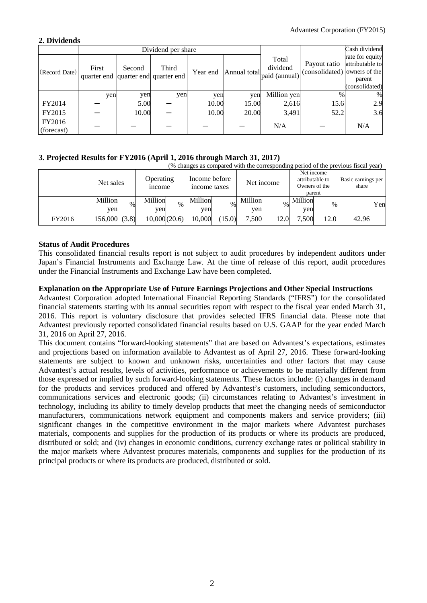## **2. Dividends**

|                      | Dividend per share                           |        |       |          |              |                                    |                                              | Cash dividend                                                  |
|----------------------|----------------------------------------------|--------|-------|----------|--------------|------------------------------------|----------------------------------------------|----------------------------------------------------------------|
| (Record Date)        | First<br>quarter end quarter end quarter end | Second | Third | Year end | Annual total | Total<br>dividend<br>paid (annual) | Payout ratio<br>(consolidated) owners of the | rate for equity<br>attributable to<br>parent<br>(consolidated) |
|                      | yen                                          | yen    | yen   | yen      | yen          | Million yen                        | $\%$                                         | %                                                              |
| FY2014               |                                              | 5.00   |       | 10.00    | 15.00        | 2,616                              | 15.6                                         | 2.9                                                            |
| FY2015               |                                              | 10.00  |       | 10.00    | 20.00        | 3,491                              | 52.2                                         | 3.6                                                            |
| FY2016<br>(forecast) |                                              |        |       |          |              | N/A                                |                                              | N/A                                                            |

## **3. Projected Results for FY2016 (April 1, 2016 through March 31, 2017)**

|        | (% changes as compared with the corresponding period of the previous fiscal year) |                                 |                               |                        |                                                          |                             |  |  |
|--------|-----------------------------------------------------------------------------------|---------------------------------|-------------------------------|------------------------|----------------------------------------------------------|-----------------------------|--|--|
|        | Net sales                                                                         | Operating<br><i>n</i> come      | Income before<br>income taxes | Net income             | Net income<br>attributable to<br>Owners of the<br>parent | Basic earnings per<br>share |  |  |
|        | Million<br>$\%$<br>yen                                                            | Million<br>$\frac{0}{0}$<br>yen | Million<br>$\%$<br>yen        | Million<br>$\%$<br>yen | Million<br>$\%$<br>yen                                   | Yen                         |  |  |
| FY2016 | 156,000 (3.8)                                                                     | 10,000(20.6)                    | 10.000<br>(15.0)              | 7.500<br>12.0          | 7.500<br>12.0                                            | 42.96                       |  |  |

## **Status of Audit Procedures**

This consolidated financial results report is not subject to audit procedures by independent auditors under Japan's Financial Instruments and Exchange Law. At the time of release of this report, audit procedures under the Financial Instruments and Exchange Law have been completed.

## **Explanation on the Appropriate Use of Future Earnings Projections and Other Special Instructions**

Advantest Corporation adopted International Financial Reporting Standards ("IFRS") for the consolidated financial statements starting with its annual securities report with respect to the fiscal year ended March 31, 2016. This report is voluntary disclosure that provides selected IFRS financial data. Please note that Advantest previously reported consolidated financial results based on U.S. GAAP for the year ended March 31, 2016 on April 27, 2016.

This document contains "forward-looking statements" that are based on Advantest's expectations, estimates and projections based on information available to Advantest as of April 27, 2016. These forward-looking statements are subject to known and unknown risks, uncertainties and other factors that may cause Advantest's actual results, levels of activities, performance or achievements to be materially different from those expressed or implied by such forward-looking statements. These factors include: (i) changes in demand for the products and services produced and offered by Advantest's customers, including semiconductors, communications services and electronic goods; (ii) circumstances relating to Advantest's investment in technology, including its ability to timely develop products that meet the changing needs of semiconductor manufacturers, communications network equipment and components makers and service providers; (iii) significant changes in the competitive environment in the major markets where Advantest purchases materials, components and supplies for the production of its products or where its products are produced, distributed or sold; and (iv) changes in economic conditions, currency exchange rates or political stability in the major markets where Advantest procures materials, components and supplies for the production of its principal products or where its products are produced, distributed or sold.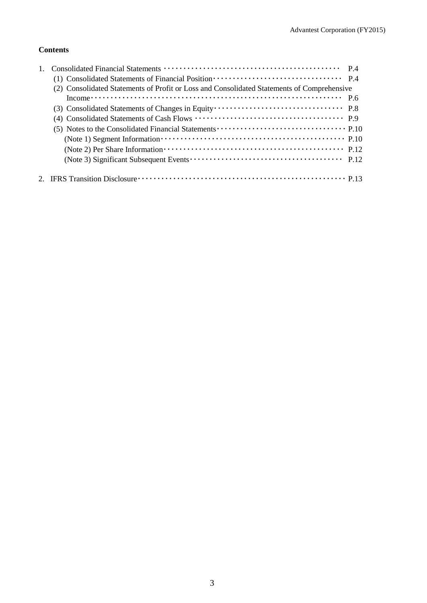## **Contents**

| (2) Consolidated Statements of Profit or Loss and Consolidated Statements of Comprehensive                                                                                                                                                                                                                                                 |  |
|--------------------------------------------------------------------------------------------------------------------------------------------------------------------------------------------------------------------------------------------------------------------------------------------------------------------------------------------|--|
| Income $\cdots$ $\cdots$ $\cdots$ $\cdots$ $\cdots$ $\cdots$ $\cdots$ $\cdots$ $\cdots$ $\cdots$ $\cdots$ $\cdots$ $\cdots$ $\cdots$ $\cdots$ $\cdots$ $\cdots$ $\cdots$ $\cdots$ $\cdots$ $\cdots$ $\cdots$ $\cdots$ $\cdots$ $\cdots$ $\cdots$ $\cdots$ $\cdots$ $\cdots$ $\cdots$ $\cdots$ $\cdots$ $\cdots$ $\cdots$ $\cdots$ $\cdots$ |  |
|                                                                                                                                                                                                                                                                                                                                            |  |
|                                                                                                                                                                                                                                                                                                                                            |  |
|                                                                                                                                                                                                                                                                                                                                            |  |
|                                                                                                                                                                                                                                                                                                                                            |  |
|                                                                                                                                                                                                                                                                                                                                            |  |
|                                                                                                                                                                                                                                                                                                                                            |  |
|                                                                                                                                                                                                                                                                                                                                            |  |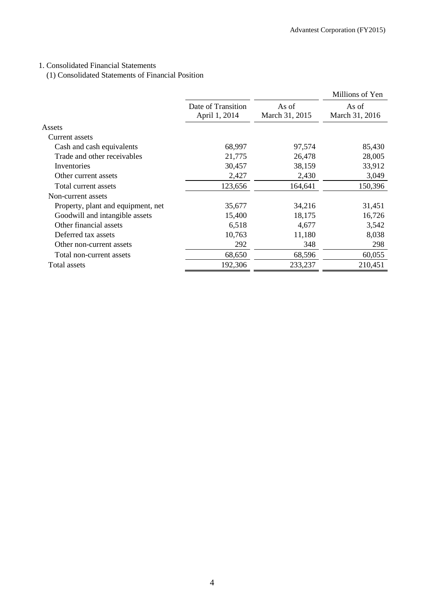## 1. Consolidated Financial Statements

(1) Consolidated Statements of Financial Position

|                                    |                                     |                         | Millions of Yen         |
|------------------------------------|-------------------------------------|-------------------------|-------------------------|
|                                    | Date of Transition<br>April 1, 2014 | As of<br>March 31, 2015 | As of<br>March 31, 2016 |
| Assets                             |                                     |                         |                         |
| Current assets                     |                                     |                         |                         |
| Cash and cash equivalents          | 68,997                              | 97,574                  | 85,430                  |
| Trade and other receivables        | 21,775                              | 26,478                  | 28,005                  |
| Inventories                        | 30,457                              | 38,159                  | 33,912                  |
| Other current assets               | 2,427                               | 2,430                   | 3,049                   |
| Total current assets               | 123,656                             | 164,641                 | 150,396                 |
| Non-current assets                 |                                     |                         |                         |
| Property, plant and equipment, net | 35,677                              | 34,216                  | 31,451                  |
| Goodwill and intangible assets     | 15,400                              | 18,175                  | 16,726                  |
| Other financial assets             | 6,518                               | 4,677                   | 3,542                   |
| Deferred tax assets                | 10,763                              | 11,180                  | 8,038                   |
| Other non-current assets           | 292                                 | 348                     | 298                     |
| Total non-current assets           | 68,650                              | 68,596                  | 60,055                  |
| Total assets                       | 192,306                             | 233,237                 | 210,451                 |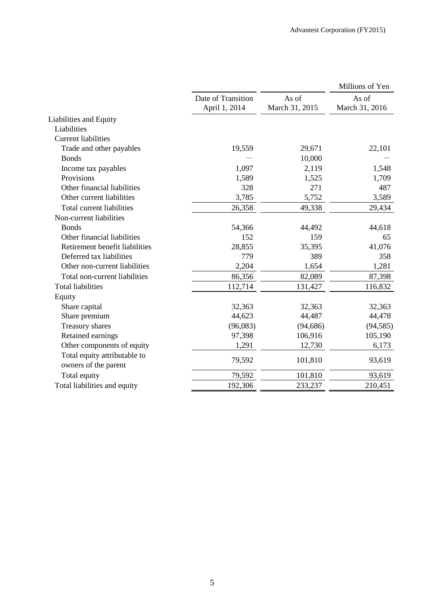|                                                      |                                     |                         | Millions of Yen         |
|------------------------------------------------------|-------------------------------------|-------------------------|-------------------------|
|                                                      | Date of Transition<br>April 1, 2014 | As of<br>March 31, 2015 | As of<br>March 31, 2016 |
| Liabilities and Equity                               |                                     |                         |                         |
| Liabilities                                          |                                     |                         |                         |
| <b>Current liabilities</b>                           |                                     |                         |                         |
| Trade and other payables                             | 19,559                              | 29,671                  | 22,101                  |
| <b>Bonds</b>                                         |                                     | 10,000                  |                         |
| Income tax payables                                  | 1,097                               | 2,119                   | 1,548                   |
| Provisions                                           | 1,589                               | 1,525                   | 1,709                   |
| Other financial liabilities                          | 328                                 | 271                     | 487                     |
| Other current liabilities                            | 3,785                               | 5,752                   | 3,589                   |
| Total current liabilities                            | 26,358                              | 49,338                  | 29,434                  |
| Non-current liabilities                              |                                     |                         |                         |
| <b>Bonds</b>                                         | 54,366                              | 44,492                  | 44,618                  |
| Other financial liabilities                          | 152                                 | 159                     | 65                      |
| Retirement benefit liabilities                       | 28,855                              | 35,395                  | 41,076                  |
| Deferred tax liabilities                             | 779                                 | 389                     | 358                     |
| Other non-current liabilities                        | 2,204                               | 1,654                   | 1,281                   |
| Total non-current liabilities                        | 86,356                              | 82,089                  | 87,398                  |
| <b>Total liabilities</b>                             | 112,714                             | 131,427                 | 116,832                 |
| Equity                                               |                                     |                         |                         |
| Share capital                                        | 32,363                              | 32,363                  | 32,363                  |
| Share premium                                        | 44,623                              | 44,487                  | 44,478                  |
| Treasury shares                                      | (96,083)                            | (94, 686)               | (94, 585)               |
| Retained earnings                                    | 97,398                              | 106,916                 | 105,190                 |
| Other components of equity                           | 1,291                               | 12,730                  | 6,173                   |
| Total equity attributable to<br>owners of the parent | 79,592                              | 101,810                 | 93,619                  |
| Total equity                                         | 79,592                              | 101,810                 | 93,619                  |
| Total liabilities and equity                         | 192,306                             | 233,237                 | 210,451                 |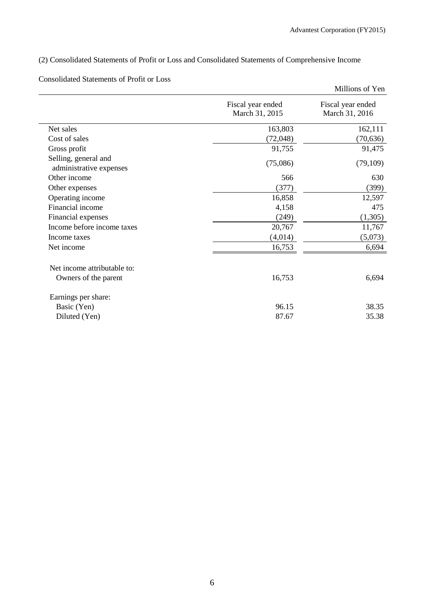## (2) Consolidated Statements of Profit or Loss and Consolidated Statements of Comprehensive Income

## Consolidated Statements of Profit or Loss

|                                                 |                                     | Millions of Yen                     |
|-------------------------------------------------|-------------------------------------|-------------------------------------|
|                                                 | Fiscal year ended<br>March 31, 2015 | Fiscal year ended<br>March 31, 2016 |
| Net sales                                       | 163,803                             | 162,111                             |
| Cost of sales                                   | (72, 048)                           | (70, 636)                           |
| Gross profit                                    | 91,755                              | 91,475                              |
| Selling, general and<br>administrative expenses | (75,086)                            | (79,109)                            |
| Other income                                    | 566                                 | 630                                 |
| Other expenses                                  | (377)                               | (399)                               |
| Operating income                                | 16,858                              | 12,597                              |
| Financial income                                | 4,158                               | 475                                 |
| Financial expenses                              | (249)                               | (1,305)                             |
| Income before income taxes                      | 20,767                              | 11,767                              |
| Income taxes                                    | (4,014)                             | (5,073)                             |
| Net income                                      | 16,753                              | 6,694                               |
| Net income attributable to:                     |                                     |                                     |
| Owners of the parent                            | 16,753                              | 6,694                               |
| Earnings per share:                             |                                     |                                     |
| Basic (Yen)                                     | 96.15                               | 38.35                               |
| Diluted (Yen)                                   | 87.67                               | 35.38                               |
|                                                 |                                     |                                     |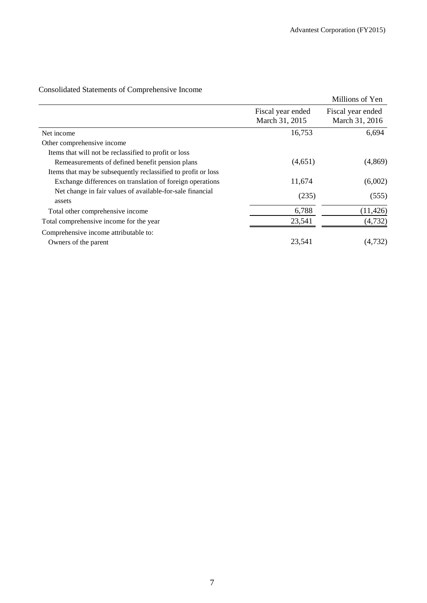|                                                                     |                                     | Millions of Yen                     |
|---------------------------------------------------------------------|-------------------------------------|-------------------------------------|
|                                                                     | Fiscal year ended<br>March 31, 2015 | Fiscal year ended<br>March 31, 2016 |
| Net income                                                          | 16,753                              | 6,694                               |
| Other comprehensive income                                          |                                     |                                     |
| Items that will not be reclassified to profit or loss               |                                     |                                     |
| Remeasurements of defined benefit pension plans                     | (4,651)                             | (4,869)                             |
| Items that may be subsequently reclassified to profit or loss       |                                     |                                     |
| Exchange differences on translation of foreign operations           | 11,674                              | (6,002)                             |
| Net change in fair values of available-for-sale financial<br>assets | (235)                               | (555)                               |
| Total other comprehensive income                                    | 6,788                               | (11, 426)                           |
| Total comprehensive income for the year                             | 23,541                              | (4, 732)                            |
| Comprehensive income attributable to:                               |                                     |                                     |
| Owners of the parent                                                | 23,541                              | (4,732)                             |

## Consolidated Statements of Comprehensive Income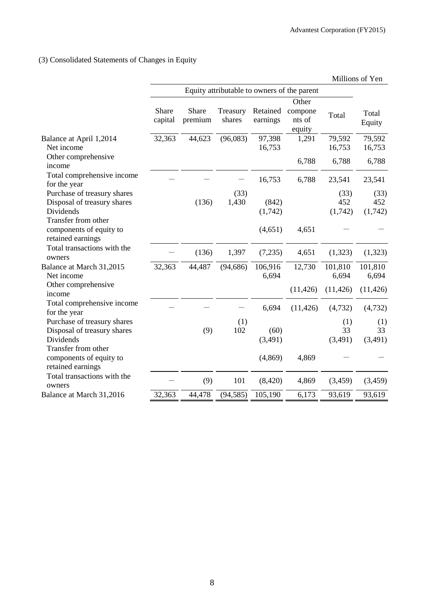(3) Consolidated Statements of Changes in Equity

|                                                                                                |                  |                                             |                    |                      |                                      |                        | Millions of Yen        |
|------------------------------------------------------------------------------------------------|------------------|---------------------------------------------|--------------------|----------------------|--------------------------------------|------------------------|------------------------|
|                                                                                                |                  | Equity attributable to owners of the parent |                    |                      |                                      |                        |                        |
|                                                                                                | Share<br>capital | Share<br>premium                            | Treasury<br>shares | Retained<br>earnings | Other<br>compone<br>nts of<br>equity | Total                  | Total<br>Equity        |
| Balance at April 1,2014<br>Net income                                                          | 32,363           | 44,623                                      | (96,083)           | 97,398<br>16,753     | 1,291                                | 79,592<br>16,753       | 79,592<br>16,753       |
| Other comprehensive<br>income                                                                  |                  |                                             |                    |                      | 6,788                                | 6,788                  | 6,788                  |
| Total comprehensive income<br>for the year                                                     |                  |                                             |                    | 16,753               | 6,788                                | 23,541                 | 23,541                 |
| Purchase of treasury shares<br>Disposal of treasury shares<br>Dividends<br>Transfer from other |                  | (136)                                       | (33)<br>1,430      | (842)<br>(1,742)     |                                      | (33)<br>452<br>(1,742) | (33)<br>452<br>(1,742) |
| components of equity to<br>retained earnings                                                   |                  |                                             |                    | (4,651)              | 4,651                                |                        |                        |
| Total transactions with the<br>owners                                                          |                  | (136)                                       | 1,397              | (7,235)              | 4,651                                | (1,323)                | (1,323)                |
| Balance at March 31,2015<br>Net income                                                         | 32,363           | 44,487                                      | (94, 686)          | 106,916<br>6,694     | 12,730                               | 101,810<br>6,694       | 101,810<br>6,694       |
| Other comprehensive<br>income                                                                  |                  |                                             |                    |                      | (11, 426)                            | (11, 426)              | (11, 426)              |
| Total comprehensive income<br>for the year                                                     |                  |                                             |                    | 6,694                | (11, 426)                            | (4, 732)               | (4, 732)               |
| Purchase of treasury shares<br>Disposal of treasury shares                                     |                  | (9)                                         | (1)<br>102         | (60)                 |                                      | (1)<br>33              | (1)<br>33              |
| Dividends<br>Transfer from other                                                               |                  |                                             |                    | (3,491)              |                                      | (3,491)                | (3,491)                |
| components of equity to<br>retained earnings                                                   |                  |                                             |                    | (4, 869)             | 4,869                                |                        |                        |
| Total transactions with the<br>owners                                                          |                  | (9)                                         | 101                | (8,420)              | 4,869                                | (3, 459)               | (3, 459)               |
| Balance at March 31,2016                                                                       | 32,363           | 44,478                                      | (94, 585)          | 105,190              | 6,173                                | 93,619                 | 93,619                 |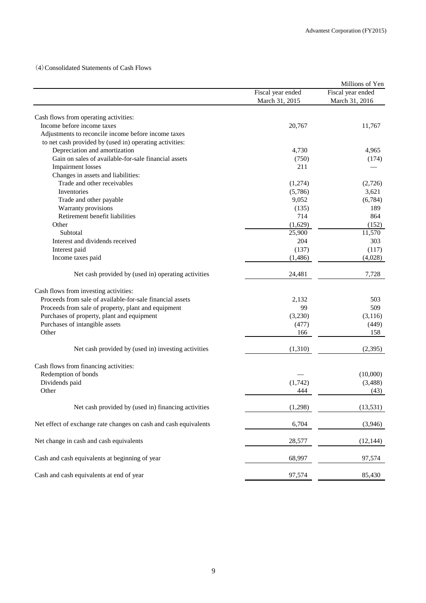(4)Consolidated Statements of Cash Flows

|                                                                  |                   | Millions of Yen   |
|------------------------------------------------------------------|-------------------|-------------------|
|                                                                  | Fiscal year ended | Fiscal year ended |
|                                                                  | March 31, 2015    | March 31, 2016    |
|                                                                  |                   |                   |
| Cash flows from operating activities:                            |                   |                   |
| Income before income taxes                                       | 20,767            | 11,767            |
| Adjustments to reconcile income before income taxes              |                   |                   |
| to net cash provided by (used in) operating activities:          |                   |                   |
| Depreciation and amortization                                    | 4,730             | 4,965             |
| Gain on sales of available-for-sale financial assets             | (750)             | (174)             |
| <b>Impairment</b> losses                                         | 211               |                   |
| Changes in assets and liabilities:                               |                   |                   |
| Trade and other receivables                                      | (1,274)           | (2,726)           |
| Inventories                                                      | (5,786)           | 3,621             |
| Trade and other payable                                          | 9,052             | (6,784)           |
| Warranty provisions                                              | (135)             | 189               |
| Retirement benefit liabilities                                   | 714               | 864               |
| Other                                                            | (1,629)           | (152)             |
| Subtotal                                                         | 25,900            | 11,570            |
| Interest and dividends received                                  | 204               | 303               |
| Interest paid                                                    | (137)             | (117)             |
| Income taxes paid                                                | (1,486)           | (4,028)           |
| Net cash provided by (used in) operating activities              | 24,481            | 7,728             |
|                                                                  |                   |                   |
| Cash flows from investing activities:                            |                   |                   |
| Proceeds from sale of available-for-sale financial assets        | 2,132             | 503               |
| Proceeds from sale of property, plant and equipment              | 99                | 509               |
| Purchases of property, plant and equipment                       | (3,230)           | (3, 116)          |
| Purchases of intangible assets                                   | (477)             | (449)             |
| Other                                                            | 166               | 158               |
| Net cash provided by (used in) investing activities              | (1,310)           | (2,395)           |
| Cash flows from financing activities:                            |                   |                   |
| Redemption of bonds                                              |                   | (10,000)          |
| Dividends paid                                                   | (1,742)           | (3,488)           |
| Other                                                            | 444               | (43)              |
| Net cash provided by (used in) financing activities              | (1,298)           | (13, 531)         |
| Net effect of exchange rate changes on cash and cash equivalents | 6,704             | (3,946)           |
| Net change in cash and cash equivalents                          | 28,577            | (12, 144)         |
| Cash and cash equivalents at beginning of year                   | 68,997            | 97,574            |
| Cash and cash equivalents at end of year                         | 97,574            | 85,430            |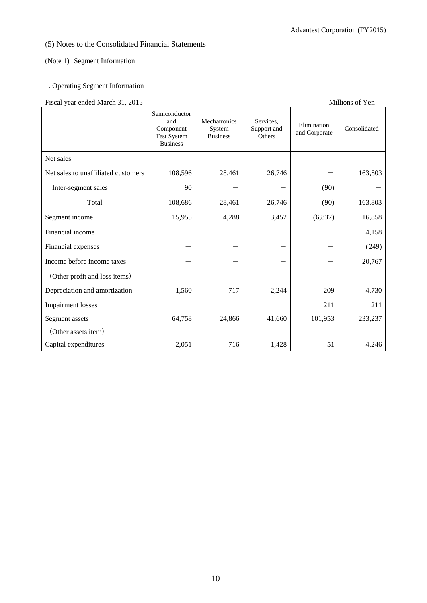## (5) Notes to the Consolidated Financial Statements

### (Note 1) Segment Information

## 1. Operating Segment Information

## Fiscal year ended March 31, 2015 Millions of Yen

|                                     | Semiconductor<br>and<br>Component<br><b>Test System</b><br><b>Business</b> | Mechatronics<br>System<br><b>Business</b> | Services.<br>Support and<br>Others | Elimination<br>and Corporate | Consolidated |
|-------------------------------------|----------------------------------------------------------------------------|-------------------------------------------|------------------------------------|------------------------------|--------------|
| Net sales                           |                                                                            |                                           |                                    |                              |              |
| Net sales to unaffiliated customers | 108,596                                                                    | 28,461                                    | 26,746                             |                              | 163,803      |
| Inter-segment sales                 | 90                                                                         |                                           |                                    | (90)                         |              |
| Total                               | 108,686                                                                    | 28,461                                    | 26,746                             | (90)                         | 163,803      |
| Segment income                      | 15,955                                                                     | 4,288                                     | 3,452                              | (6,837)                      | 16,858       |
| Financial income                    |                                                                            |                                           |                                    |                              | 4,158        |
| Financial expenses                  |                                                                            |                                           |                                    |                              | (249)        |
| Income before income taxes          |                                                                            |                                           |                                    |                              | 20,767       |
| (Other profit and loss items)       |                                                                            |                                           |                                    |                              |              |
| Depreciation and amortization       | 1,560                                                                      | 717                                       | 2,244                              | 209                          | 4,730        |
| <b>Impairment</b> losses            |                                                                            |                                           |                                    | 211                          | 211          |
| Segment assets                      | 64,758                                                                     | 24,866                                    | 41,660                             | 101,953                      | 233,237      |
| (Other assets item)                 |                                                                            |                                           |                                    |                              |              |
| Capital expenditures                | 2,051                                                                      | 716                                       | 1,428                              | 51                           | 4,246        |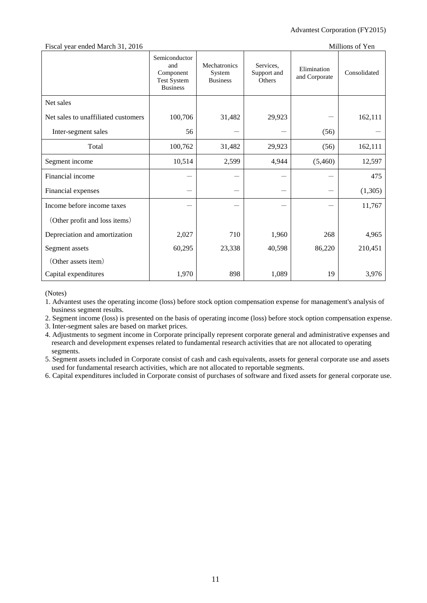| Fiscal year ended March 31, 2016    |                                                                            |                                           |                                    |                              | Millions of Yen |
|-------------------------------------|----------------------------------------------------------------------------|-------------------------------------------|------------------------------------|------------------------------|-----------------|
|                                     | Semiconductor<br>and<br>Component<br><b>Test System</b><br><b>Business</b> | Mechatronics<br>System<br><b>Business</b> | Services,<br>Support and<br>Others | Elimination<br>and Corporate | Consolidated    |
| Net sales                           |                                                                            |                                           |                                    |                              |                 |
| Net sales to unaffiliated customers | 100,706                                                                    | 31,482                                    | 29,923                             |                              | 162,111         |
| Inter-segment sales                 | 56                                                                         |                                           |                                    | (56)                         |                 |
| Total                               | 100,762                                                                    | 31,482                                    | 29,923                             | (56)                         | 162,111         |
| Segment income                      | 10,514                                                                     | 2,599                                     | 4,944                              | (5,460)                      | 12,597          |
| Financial income                    |                                                                            |                                           |                                    |                              | 475             |
| Financial expenses                  |                                                                            |                                           |                                    |                              | (1,305)         |
| Income before income taxes          |                                                                            |                                           |                                    |                              | 11,767          |
| (Other profit and loss items)       |                                                                            |                                           |                                    |                              |                 |
| Depreciation and amortization       | 2,027                                                                      | 710                                       | 1,960                              | 268                          | 4,965           |
| Segment assets                      | 60,295                                                                     | 23,338                                    | 40,598                             | 86,220                       | 210,451         |
| (Other assets item)                 |                                                                            |                                           |                                    |                              |                 |
| Capital expenditures                | 1,970                                                                      | 898                                       | 1,089                              | 19                           | 3,976           |

(Notes)

1. Advantest uses the operating income (loss) before stock option compensation expense for management's analysis of business segment results.

2. Segment income (loss) is presented on the basis of operating income (loss) before stock option compensation expense.

3. Inter-segment sales are based on market prices.

4. Adjustments to segment income in Corporate principally represent corporate general and administrative expenses and research and development expenses related to fundamental research activities that are not allocated to operating segments.

5. Segment assets included in Corporate consist of cash and cash equivalents, assets for general corporate use and assets used for fundamental research activities, which are not allocated to reportable segments.

6. Capital expenditures included in Corporate consist of purchases of software and fixed assets for general corporate use.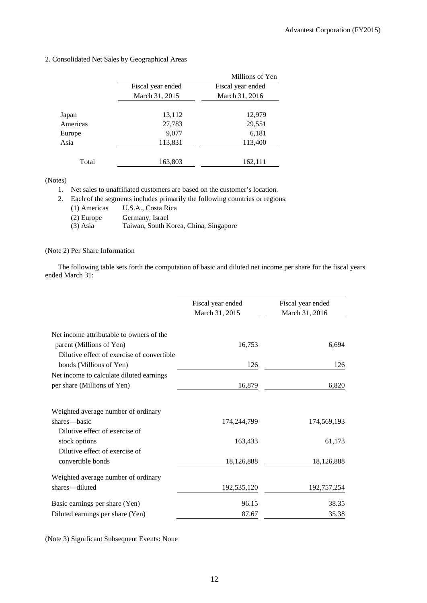|          |                   | Millions of Yen   |
|----------|-------------------|-------------------|
|          | Fiscal year ended | Fiscal year ended |
|          | March 31, 2015    | March 31, 2016    |
|          |                   |                   |
| Japan    | 13,112            | 12,979            |
| Americas | 27,783            | 29,551            |
| Europe   | 9,077             | 6,181             |
| Asia     | 113,831           | 113,400           |
|          |                   |                   |
| Total    | 163,803           | 162,111           |

2. Consolidated Net Sales by Geographical Areas

(Notes)

1. Net sales to unaffiliated customers are based on the customer's location.

2. Each of the segments includes primarily the following countries or regions:

- (1) Americas U.S.A., Costa Rica
- (2) Europe Germany, Israel
- (3) Asia Taiwan, South Korea, China, Singapore

#### (Note 2) Per Share Information

The following table sets forth the computation of basic and diluted net income per share for the fiscal years ended March 31:

|                                            | Fiscal year ended<br>March 31, 2015 | Fiscal year ended<br>March 31, 2016 |
|--------------------------------------------|-------------------------------------|-------------------------------------|
|                                            |                                     |                                     |
| Net income attributable to owners of the   |                                     |                                     |
| parent (Millions of Yen)                   | 16,753                              | 6,694                               |
| Dilutive effect of exercise of convertible |                                     |                                     |
| bonds (Millions of Yen)                    | 126                                 | 126                                 |
| Net income to calculate diluted earnings   |                                     |                                     |
| per share (Millions of Yen)                | 16,879                              | 6,820                               |
| Weighted average number of ordinary        |                                     |                                     |
| shares—basic                               | 174,244,799                         | 174,569,193                         |
| Dilutive effect of exercise of             |                                     |                                     |
| stock options                              | 163,433                             | 61,173                              |
| Dilutive effect of exercise of             |                                     |                                     |
| convertible bonds                          | 18,126,888                          | 18,126,888                          |
| Weighted average number of ordinary        |                                     |                                     |
| shares-diluted                             | 192,535,120                         | 192,757,254                         |
| Basic earnings per share (Yen)             | 96.15                               | 38.35                               |
| Diluted earnings per share (Yen)           | 87.67                               | 35.38                               |

(Note 3) Significant Subsequent Events: None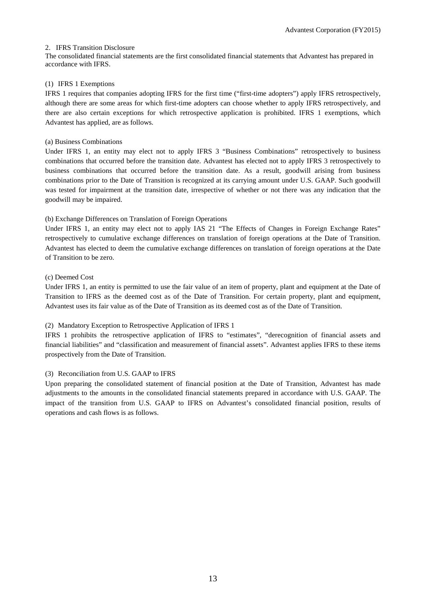#### 2. IFRS Transition Disclosure

The consolidated financial statements are the first consolidated financial statements that Advantest has prepared in accordance with IFRS.

#### (1) IFRS 1 Exemptions

IFRS 1 requires that companies adopting IFRS for the first time ("first-time adopters") apply IFRS retrospectively, although there are some areas for which first-time adopters can choose whether to apply IFRS retrospectively, and there are also certain exceptions for which retrospective application is prohibited. IFRS 1 exemptions, which Advantest has applied, are as follows.

#### (a) Business Combinations

Under IFRS 1, an entity may elect not to apply IFRS 3 "Business Combinations" retrospectively to business combinations that occurred before the transition date. Advantest has elected not to apply IFRS 3 retrospectively to business combinations that occurred before the transition date. As a result, goodwill arising from business combinations prior to the Date of Transition is recognized at its carrying amount under U.S. GAAP. Such goodwill was tested for impairment at the transition date, irrespective of whether or not there was any indication that the goodwill may be impaired.

#### (b) Exchange Differences on Translation of Foreign Operations

Under IFRS 1, an entity may elect not to apply IAS 21 "The Effects of Changes in Foreign Exchange Rates" retrospectively to cumulative exchange differences on translation of foreign operations at the Date of Transition. Advantest has elected to deem the cumulative exchange differences on translation of foreign operations at the Date of Transition to be zero.

#### (c) Deemed Cost

Under IFRS 1, an entity is permitted to use the fair value of an item of property, plant and equipment at the Date of Transition to IFRS as the deemed cost as of the Date of Transition. For certain property, plant and equipment, Advantest uses its fair value as of the Date of Transition as its deemed cost as of the Date of Transition.

#### (2) Mandatory Exception to Retrospective Application of IFRS 1

IFRS 1 prohibits the retrospective application of IFRS to "estimates", "derecognition of financial assets and financial liabilities" and "classification and measurement of financial assets". Advantest applies IFRS to these items prospectively from the Date of Transition.

#### (3) Reconciliation from U.S. GAAP to IFRS

Upon preparing the consolidated statement of financial position at the Date of Transition, Advantest has made adjustments to the amounts in the consolidated financial statements prepared in accordance with U.S. GAAP. The impact of the transition from U.S. GAAP to IFRS on Advantest's consolidated financial position, results of operations and cash flows is as follows.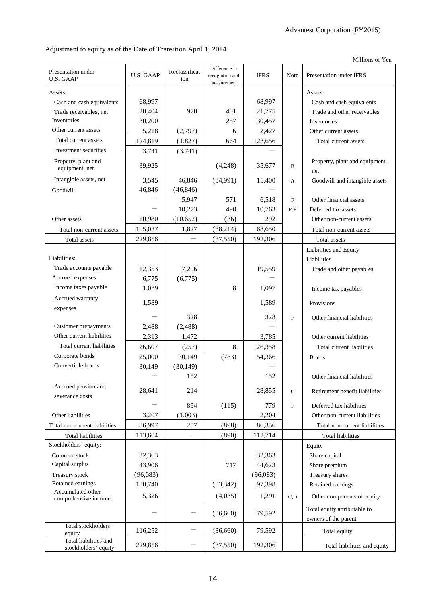Millions of Yen

Adjustment to equity as of the Date of Transition April 1, 2014

| Presentation under<br><b>U.S. GAAP</b>        | <b>U.S. GAAP</b>    | Reclassificat<br>ion     | Difference in<br>recognition and<br>measurement | <b>IFRS</b>        | Note        | Presentation under IFRS               |
|-----------------------------------------------|---------------------|--------------------------|-------------------------------------------------|--------------------|-------------|---------------------------------------|
| Assets                                        |                     |                          |                                                 |                    |             | Assets                                |
| Cash and cash equivalents                     | 68,997              |                          |                                                 | 68,997             |             | Cash and cash equivalents             |
| Trade receivables, net                        | 20,404              | 970                      | 401                                             | 21,775             |             | Trade and other receivables           |
| Inventories                                   | 30,200              |                          | 257                                             | 30,457             |             | Inventories                           |
| Other current assets                          | 5,218               | (2,797)                  | 6                                               | 2,427              |             | Other current assets                  |
| Total current assets                          | 124,819             | (1,827)                  | 664                                             | 123,656            |             | Total current assets                  |
| Investment securities                         | 3,741               | (3,741)                  |                                                 |                    |             |                                       |
| Property, plant and<br>equipment, net         | 39,925              |                          | (4,248)                                         | 35,677             | B           | Property, plant and equipment,<br>net |
| Intangible assets, net                        | 3,545               | 46,846                   | (34,991)                                        | 15,400             | A           | Goodwill and intangible assets        |
| Goodwill                                      | 46,846              | (46, 846)                |                                                 |                    |             |                                       |
|                                               |                     | 5,947                    | 571                                             | 6,518              | $\mathbf F$ | Other financial assets                |
|                                               |                     | 10,273                   | 490                                             | 10,763             | E.F         | Deferred tax assets                   |
| Other assets                                  | 10,980              | (10, 652)                | (36)                                            | 292                |             | Other non-current assets              |
| Total non-current assets                      | 105,037             | 1,827                    | (38, 214)                                       | 68,650             |             | Total non-current assets              |
| Total assets                                  | 229,856             | $\overline{\phantom{0}}$ | (37, 550)                                       | 192,306            |             | Total assets                          |
|                                               |                     |                          |                                                 |                    |             | Liabilities and Equity                |
| Liabilities:                                  |                     |                          |                                                 |                    |             | Liabilities                           |
| Trade accounts payable                        | 12,353              | 7,206                    |                                                 | 19,559             |             | Trade and other payables              |
| Accrued expenses                              | 6,775               | (6,775)                  |                                                 |                    |             |                                       |
| Income taxes payable                          | 1,089               |                          | 8                                               | 1,097              |             | Income tax payables                   |
| Accrued warranty                              |                     |                          |                                                 |                    |             |                                       |
| expenses                                      | 1,589               |                          |                                                 | 1,589              |             | Provisions                            |
|                                               |                     | 328                      |                                                 | 328                | $\mathbf F$ | Other financial liabilities           |
| Customer prepayments                          | 2,488               | (2, 488)                 |                                                 |                    |             |                                       |
| Other current liabilities                     | 2,313               | 1,472                    |                                                 | 3,785              |             | Other current liabilities             |
| Total current liabilities                     | 26,607              | (257)                    | 8                                               | 26,358             |             | Total current liabilities             |
| Corporate bonds                               | 25,000              | 30,149                   | (783)                                           | 54,366             |             | <b>Bonds</b>                          |
| Convertible bonds                             | 30,149              | (30, 149)                |                                                 |                    |             |                                       |
|                                               |                     | 152                      |                                                 | 152                |             | Other financial liabilities           |
| Accrued pension and                           |                     |                          |                                                 |                    |             |                                       |
| severance costs                               | 28,641              | 214                      |                                                 | 28,855             | $\mathbf C$ | Retirement benefit liabilities        |
|                                               |                     | 894                      | (115)                                           | 779                | $\rm F$     | Deferred tax liabilities              |
| Other liabilities                             | 3,207               | (1,003)                  |                                                 | 2,204              |             | Other non-current liabilities         |
| Total non-current liabilities                 | 86,997              | 257                      | (898)                                           | 86,356             |             | Total non-current liabilities         |
| <b>Total liabilities</b>                      | 113,604             |                          | (890)                                           | 112,714            |             | <b>Total liabilities</b>              |
| Stockholders' equity:                         |                     |                          |                                                 |                    |             |                                       |
| Common stock                                  |                     |                          |                                                 |                    |             | Equity                                |
| Capital surplus                               | 32,363<br>43,906    |                          | 717                                             | 32,363<br>44,623   |             | Share capital                         |
|                                               |                     |                          |                                                 |                    |             | Share premium                         |
| Treasury stock<br>Retained earnings           | (96,083)<br>130,740 |                          |                                                 | (96,083)<br>97,398 |             | Treasury shares                       |
| Accumulated other                             |                     |                          | (33, 342)                                       |                    |             | Retained earnings                     |
| comprehensive income                          | 5,326               |                          | (4,035)                                         | 1,291              | C,D         | Other components of equity            |
|                                               |                     | —                        |                                                 |                    |             | Total equity attributable to          |
|                                               |                     |                          | (36,660)                                        | 79,592             |             | owners of the parent                  |
| Total stockholders'<br>equity                 | 116,252             | $\qquad \qquad -$        | (36,660)                                        | 79,592             |             | Total equity                          |
| Total liabilities and<br>stockholders' equity | 229,856             | —                        | (37, 550)                                       | 192,306            |             | Total liabilities and equity          |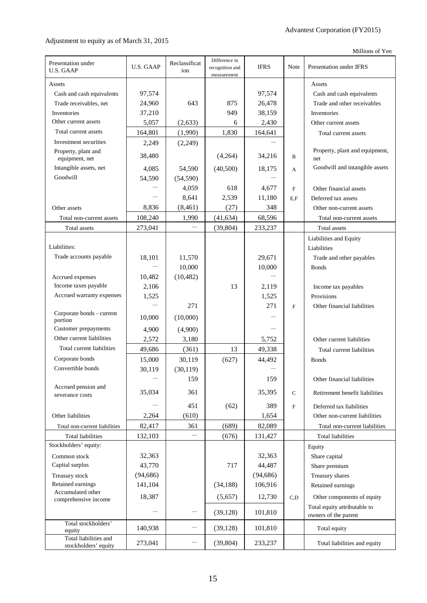## Adjustment to equity as of March 31, 2015

Millions of Yen

| Presentation under<br><b>U.S. GAAP</b>        | U.S. GAAP                | Reclassificat<br>ion     | Difference in<br>recognition and<br>measurement | <b>IFRS</b> | Note                      | Presentation under IFRS               |
|-----------------------------------------------|--------------------------|--------------------------|-------------------------------------------------|-------------|---------------------------|---------------------------------------|
| Assets                                        |                          |                          |                                                 |             |                           | Assets                                |
| Cash and cash equivalents                     | 97,574                   |                          |                                                 | 97,574      |                           | Cash and cash equivalents             |
| Trade receivables, net                        | 24,960                   | 643                      | 875                                             | 26,478      |                           | Trade and other receivables           |
| Inventories                                   | 37,210                   |                          | 949                                             | 38,159      |                           | Inventories                           |
| Other current assets                          | 5,057                    | (2,633)                  | 6                                               | 2,430       |                           | Other current assets                  |
| Total current assets                          | 164,801                  | (1,990)                  | 1,830                                           | 164,641     |                           | Total current assets                  |
| Investment securities                         | 2,249                    | (2,249)                  |                                                 |             |                           |                                       |
| Property, plant and<br>equipment, net         | 38,480                   |                          | (4,264)                                         | 34,216      | B                         | Property, plant and equipment,<br>net |
| Intangible assets, net                        | 4,085                    | 54,590                   | (40,500)                                        | 18,175      | A                         | Goodwill and intangible assets        |
| Goodwill                                      | 54,590                   | (54, 590)                |                                                 |             |                           |                                       |
|                                               | $\qquad \qquad$          | 4,059                    | 618                                             | 4,677       | $\boldsymbol{\mathrm{F}}$ | Other financial assets                |
|                                               | $\overline{\phantom{0}}$ | 8,641                    | 2,539                                           | 11,180      | E.F                       | Deferred tax assets                   |
| Other assets                                  | 8,836                    | (8, 461)                 | (27)                                            | 348         |                           | Other non-current assets              |
| Total non-current assets                      | 108,240                  | 1,990                    | (41, 634)                                       | 68,596      |                           | Total non-current assets              |
| Total assets                                  | 273,041                  |                          | (39, 804)                                       | 233,237     |                           | Total assets                          |
|                                               |                          |                          |                                                 |             |                           | Liabilities and Equity                |
| Liabilities:                                  |                          |                          |                                                 |             |                           | Liabilities                           |
| Trade accounts payable                        | 18,101                   | 11,570                   |                                                 | 29,671      |                           | Trade and other payables              |
|                                               |                          | 10,000                   |                                                 | 10,000      |                           | <b>Bonds</b>                          |
| Accrued expenses                              | 10,482                   | (10, 482)                |                                                 |             |                           |                                       |
| Income taxes payable                          | 2,106                    |                          | 13                                              | 2,119       |                           | Income tax payables                   |
| Accrued warranty expenses                     | 1,525                    |                          |                                                 | 1,525       |                           | Provisions                            |
|                                               |                          | 271                      |                                                 | 271         | $\mathbf{F}$              | Other financial liabilities           |
| Corporate bonds - current<br>portion          | 10,000                   | (10,000)                 |                                                 |             |                           |                                       |
| Customer prepayments                          | 4,900                    | (4,900)                  |                                                 |             |                           |                                       |
| Other current liabilities                     | 2,572                    | 3,180                    |                                                 | 5,752       |                           | Other current liabilities             |
| Total current liabilities                     | 49,686                   | (361)                    | 13                                              | 49,338      |                           | Total current liabilities             |
| Corporate bonds                               | 15,000                   | 30,119                   | (627)                                           | 44,492      |                           | <b>Bonds</b>                          |
| Convertible bonds                             | 30,119                   | (30, 119)                |                                                 |             |                           |                                       |
|                                               |                          | 159                      |                                                 | 159         |                           | Other financial liabilities           |
| Accrued pension and                           |                          |                          |                                                 |             |                           |                                       |
| severance costs                               | 35,034                   | 361                      |                                                 | 35,395      | $\mathbf C$               | Retirement benefit liabilities        |
|                                               |                          | 451                      | (62)                                            | 389         | $\mathbf F$               | Deferred tax liabilities              |
| Other liabilities                             | 2,264                    | (610)                    |                                                 | 1,654       |                           | Other non-current liabilities         |
| Total non-current liabilities                 | 82,417                   | 361                      | (689)                                           | 82,089      |                           | Total non-current liabilities         |
| Total liabilities                             | 132,103                  | $\overline{\phantom{0}}$ | (676)                                           | 131,427     |                           | <b>Total liabilities</b>              |
| Stockholders' equity:                         |                          |                          |                                                 |             |                           | Equity                                |
| Common stock                                  | 32,363                   |                          |                                                 | 32,363      |                           | Share capital                         |
| Capital surplus                               | 43,770                   |                          | 717                                             | 44,487      |                           | Share premium                         |
| Treasury stock                                | (94, 686)                |                          |                                                 | (94, 686)   |                           | Treasury shares                       |
| Retained earnings                             | 141,104                  |                          | (34, 188)                                       | 106,916     |                           | Retained earnings                     |
| Accumulated other                             | 18,387                   |                          | (5,657)                                         | 12,730      | C,D                       | Other components of equity            |
| comprehensive income                          |                          |                          |                                                 |             |                           | Total equity attributable to          |
|                                               |                          |                          | (39, 128)                                       | 101,810     |                           | owners of the parent                  |
| Total stockholders'<br>equity                 | 140,938                  |                          | (39, 128)                                       | 101,810     |                           | Total equity                          |
| Total liabilities and<br>stockholders' equity | 273,041                  | —                        | (39, 804)                                       | 233,237     |                           | Total liabilities and equity          |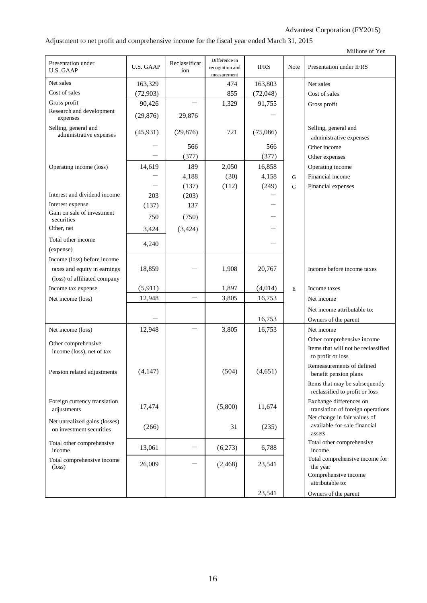## Adjustment to net profit and comprehensive income for the fiscal year ended March 31, 2015

| Millions of Yen |  |  |
|-----------------|--|--|
|-----------------|--|--|

|                                                  |                  |                      | Difference in                  |             |      |                                                                   |
|--------------------------------------------------|------------------|----------------------|--------------------------------|-------------|------|-------------------------------------------------------------------|
| Presentation under<br><b>U.S. GAAP</b>           | <b>U.S. GAAP</b> | Reclassificat<br>ion | recognition and<br>measurement | <b>IFRS</b> | Note | Presentation under IFRS                                           |
| Net sales                                        | 163,329          |                      | 474                            | 163,803     |      | Net sales                                                         |
| Cost of sales                                    | (72, 903)        |                      | 855                            | (72, 048)   |      | Cost of sales                                                     |
| Gross profit                                     | 90,426           |                      | 1,329                          | 91,755      |      | Gross profit                                                      |
| Research and development<br>expenses             | (29, 876)        | 29,876               |                                |             |      |                                                                   |
| Selling, general and                             |                  |                      |                                |             |      | Selling, general and                                              |
| administrative expenses                          | (45, 931)        | (29, 876)            | 721                            | (75,086)    |      | administrative expenses                                           |
|                                                  |                  | 566                  |                                | 566         |      | Other income                                                      |
|                                                  |                  | (377)                |                                | (377)       |      | Other expenses                                                    |
| Operating income (loss)                          | 14,619           | 189                  | 2,050                          | 16,858      |      | Operating income                                                  |
|                                                  |                  | 4,188                | (30)                           | 4,158       | G    | Financial income                                                  |
|                                                  |                  | (137)                | (112)                          | (249)       | G    | Financial expenses                                                |
| Interest and dividend income                     | 203              | (203)                |                                |             |      |                                                                   |
| Interest expense                                 | (137)            | 137                  |                                |             |      |                                                                   |
| Gain on sale of investment                       |                  |                      |                                |             |      |                                                                   |
| securities                                       | 750              | (750)                |                                |             |      |                                                                   |
| Other, net                                       | 3,424            | (3, 424)             |                                |             |      |                                                                   |
| Total other income                               | 4,240            |                      |                                |             |      |                                                                   |
| (expense)                                        |                  |                      |                                |             |      |                                                                   |
| Income (loss) before income                      |                  |                      |                                |             |      |                                                                   |
| taxes and equity in earnings                     | 18,859           |                      | 1,908                          | 20,767      |      | Income before income taxes                                        |
| (loss) of affiliated company                     |                  |                      |                                |             |      |                                                                   |
| Income tax expense                               | (5, 911)         |                      | 1,897                          | (4,014)     | E    | Income taxes                                                      |
| Net income (loss)                                | 12,948           |                      | 3,805                          | 16,753      |      | Net income                                                        |
|                                                  |                  |                      |                                |             |      | Net income attributable to:                                       |
|                                                  |                  |                      |                                | 16,753      |      | Owners of the parent                                              |
| Net income (loss)                                | 12,948           |                      | 3,805                          | 16,753      |      | Net income                                                        |
|                                                  |                  |                      |                                |             |      | Other comprehensive income                                        |
| Other comprehensive<br>income (loss), net of tax |                  |                      |                                |             |      | Items that will not be reclassified                               |
|                                                  |                  |                      |                                |             |      | to profit or loss                                                 |
|                                                  |                  |                      |                                |             |      | Remeasurements of defined                                         |
| Pension related adjustments                      | (4, 147)         |                      | (504)                          | (4,651)     |      | benefit pension plans                                             |
|                                                  |                  |                      |                                |             |      | Items that may be subsequently                                    |
|                                                  |                  |                      |                                |             |      | reclassified to profit or loss                                    |
| Foreign currency translation                     | 17,474           |                      | (5,800)                        | 11,674      |      | Exchange differences on                                           |
| adjustments                                      |                  |                      |                                |             |      | translation of foreign operations<br>Net change in fair values of |
| Net unrealized gains (losses)                    |                  |                      | 31                             |             |      | available-for-sale financial                                      |
| on investment securities                         | (266)            |                      |                                | (235)       |      | assets                                                            |
| Total other comprehensive                        |                  |                      |                                |             |      | Total other comprehensive                                         |
| income                                           | 13,061           |                      | (6,273)                        | 6,788       |      | income                                                            |
| Total comprehensive income                       | 26,009           |                      | (2, 468)                       | 23,541      |      | Total comprehensive income for                                    |
| $(\text{loss})$                                  |                  |                      |                                |             |      | the year                                                          |
|                                                  |                  |                      |                                |             |      | Comprehensive income<br>attributable to:                          |
|                                                  |                  |                      |                                | 23,541      |      | Owners of the parent                                              |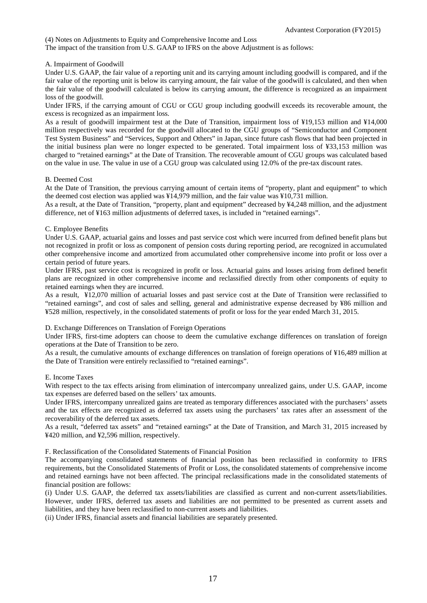(4) Notes on Adjustments to Equity and Comprehensive Income and Loss

The impact of the transition from U.S. GAAP to IFRS on the above Adjustment is as follows:

#### A. Impairment of Goodwill

Under U.S. GAAP, the fair value of a reporting unit and its carrying amount including goodwill is compared, and if the fair value of the reporting unit is below its carrying amount, the fair value of the goodwill is calculated, and then when the fair value of the goodwill calculated is below its carrying amount, the difference is recognized as an impairment loss of the goodwill.

Under IFRS, if the carrying amount of CGU or CGU group including goodwill exceeds its recoverable amount, the excess is recognized as an impairment loss.

As a result of goodwill impairment test at the Date of Transition, impairment loss of ¥19,153 million and ¥14,000 million respectively was recorded for the goodwill allocated to the CGU groups of "Semiconductor and Component Test System Business" and "Services, Support and Others" in Japan, since future cash flows that had been projected in the initial business plan were no longer expected to be generated. Total impairment loss of ¥33,153 million was charged to "retained earnings" at the Date of Transition. The recoverable amount of CGU groups was calculated based on the value in use. The value in use of a CGU group was calculated using 12.0% of the pre-tax discount rates.

#### B. Deemed Cost

At the Date of Transition, the previous carrying amount of certain items of "property, plant and equipment" to which the deemed cost election was applied was ¥14,979 million, and the fair value was ¥10,731 million.

As a result, at the Date of Transition, "property, plant and equipment" decreased by ¥4,248 million, and the adjustment difference, net of ¥163 million adjustments of deferred taxes, is included in "retained earnings".

#### C. Employee Benefits

Under U.S. GAAP, actuarial gains and losses and past service cost which were incurred from defined benefit plans but not recognized in profit or loss as component of pension costs during reporting period, are recognized in accumulated other comprehensive income and amortized from accumulated other comprehensive income into profit or loss over a certain period of future years.

Under IFRS, past service cost is recognized in profit or loss. Actuarial gains and losses arising from defined benefit plans are recognized in other comprehensive income and reclassified directly from other components of equity to retained earnings when they are incurred.

As a result, ¥12,070 million of actuarial losses and past service cost at the Date of Transition were reclassified to "retained earnings", and cost of sales and selling, general and administrative expense decreased by ¥86 million and ¥528 million, respectively, in the consolidated statements of profit or loss for the year ended March 31, 2015.

#### D. Exchange Differences on Translation of Foreign Operations

Under IFRS, first-time adopters can choose to deem the cumulative exchange differences on translation of foreign operations at the Date of Transition to be zero.

As a result, the cumulative amounts of exchange differences on translation of foreign operations of ¥16,489 million at the Date of Transition were entirely reclassified to "retained earnings".

#### E. Income Taxes

With respect to the tax effects arising from elimination of intercompany unrealized gains, under U.S. GAAP, income tax expenses are deferred based on the sellers' tax amounts.

Under IFRS, intercompany unrealized gains are treated as temporary differences associated with the purchasers' assets and the tax effects are recognized as deferred tax assets using the purchasers' tax rates after an assessment of the recoverability of the deferred tax assets.

As a result, "deferred tax assets" and "retained earnings" at the Date of Transition, and March 31, 2015 increased by ¥420 million, and ¥2,596 million, respectively.

F. Reclassification of the Consolidated Statements of Financial Position

The accompanying consolidated statements of financial position has been reclassified in conformity to IFRS requirements, but the Consolidated Statements of Profit or Loss, the consolidated statements of comprehensive income and retained earnings have not been affected. The principal reclassifications made in the consolidated statements of financial position are follows:

(i) Under U.S. GAAP, the deferred tax assets/liabilities are classified as current and non-current assets/liabilities. However, under IFRS, deferred tax assets and liabilities are not permitted to be presented as current assets and liabilities, and they have been reclassified to non-current assets and liabilities.

(ii) Under IFRS, financial assets and financial liabilities are separately presented.